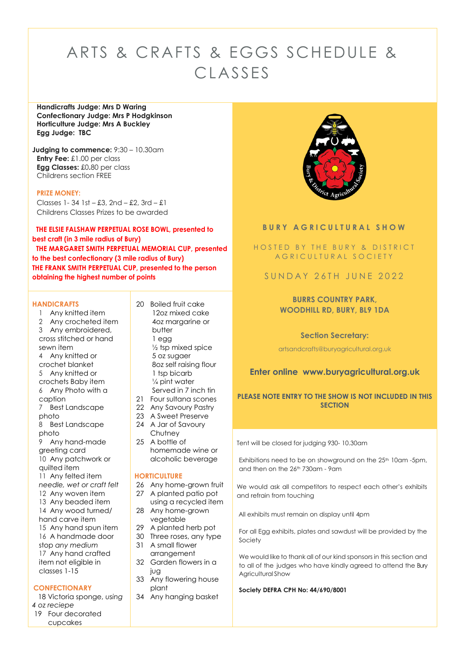# ARTS & CRAFTS & EGGS SCHEDULE & CLASSES

**Handicrafts Judge: Mrs D Waring Confectionary Judge: Mrs P Hodgkinson Horticulture Judge: Mrs A Buckley Egg Judge: TBC**

**Judging to commence:** 9:30 – 10.30am **Entry Fee:** £1.00 per class **Egg Classes:** £0**.**80 per class Childrens section FREE

#### **PRIZE MONEY:**

Classes 1-34 1st – £3, 2nd – £2, 3rd –  $£1$ Childrens Classes Prizes to be awarded

# **THE ELSIE FALSHAW PERPETUAL ROSE BOWL, presented to best craft (in 3 mile radius of Bury) THE MARGARET SMITH PERPETUAL MEMORIAL CUP, presented**

**to the best confectionary (3 mile radius of Bury) THE FRANK SMITH PERPETUAL CUP, presented to the person obtaining the highest number of points**

#### **HANDICRAFTS**

- 1 Any knitted item 2 Any crocheted item 3 Any embroidered, cross stitched or hand sewn item 4 Any knitted or crochet blanket
- 5 Any knitted or crochets Baby item 6 Any Photo with a
- caption
- 7 Best Landscape photo
- 8 Best Landscape photo
- 9 Any hand-made greeting card
- 10 Any patchwork or
- quilted item
- 11 Any felted item
- *needle, wet or craft felt*
- 12 Any woven item
- 13 Any beaded item 14 Any wood turned/ hand carve item
- 15 Any hand spun item 16 A handmade door stop *any medium* 17 Any hand crafted
- item not eligible in classes 1-15

# **CONFECTIONARY**

 18 Victoria sponge, *using 4 oz reciepe* 19 Four decorated cupcakes

- 20 Boiled fruit cake 12oz mixed cake 4oz margarine or butter 1 egg ½ tsp mixed spice 5 oz sugaer 8oz self raising flour 1 tsp bicarb  $\frac{1}{4}$  pint water Served in 7 inch tin
- 21 Four sultana scones
- 22 Any Savoury Pastry
- 23 A Sweet Preserve 24 A Jar of Savoury
- Chutney 25 A bottle of
- homemade wine or alcoholic beverage

# **HORTICULTURE**

- 26 Any home-grown fruit
- 27 A planted patio pot using a recycled item
- 28 Any home-grown vegetable
- 29 A planted herb pot
- 30 Three roses, any type
- 31 A small flower arrangement
- 32 Garden flowers in a jug
- 33 Any flowering house plant
- 34 Any hanging basket



# **B U R Y A G R I C U L T U R A L S H O W**

HOSTED BY THE BURY & DISTRICT A G R I C U L T U R A L S O C I E T Y

SUNDAY 26TH JUNE 2022

# **BURRS COUNTRY PARK, WOODHILL RD, BURY, BL9 1DA**

# **Section Secretary:**

artsandcrafts@buryagricultural.org.uk

# **Enter online www.buryagricultural.org.uk**

# **PLEASE NOTE ENTRY TO THE SHOW IS NOT INCLUDED IN THIS SECTION**

Tent will be closed for judging 930- 10.30am

Exhibitions need to be on showground on the 25<sup>th</sup> 10am -5pm, and then on the 26th 730am - 9am

We would ask all competitors to respect each other's exhibits and refrain from touching

All exhibits must remain on display until 4pm

For all Egg exhibits, plates and sawdust will be provided by the Society

We would like to thank all of our kind sponsors in this section and to all of the judges who have kindly agreed to attend the Bury Agricultural Show

#### **Society DEFRA CPH No: 44/690/8001**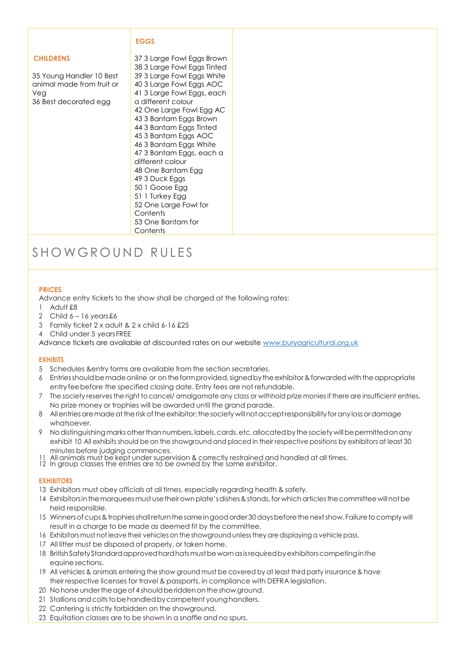# **EGGS**

# **CHILDRENS**

35 Young Handler 10 Best animal made from fruit or Veg 36 Best decorated egg

 3 Large Fowl Eggs Brown 3 Large Fowl Eggs Tinted 3 Large Fowl Eggs White 3 Large Fowl Eggs AOC 3 Large Fowl Eggs, each a different colour One Large Fowl Egg AC 3 Bantam Eggs Brown 3 Bantam Eggs Tinted 3 Bantam Eggs AOC 3 Bantam Eggs White 3 Bantam Eggs, each a different colour One Bantam Egg 3 Duck Eggs 1 Goose Egg 1 Turkey Egg One Large Fowl for **Contents**  One Bantam for Contents

# SHOWGROUND RULES

# **PRICES**

Advance entry tickets to the show shall be charged at the following rates:

- 1 Adult £8
- 2 Child  $6 16$  years £6
- 3 Family ticket 2 x adult & 2 x child 6-16 £25
- 4 Child under 5 yearsFREE

Advance tickets are available at discounted rates on our website [www.buryagricultural.org.uk](http://www.buryagricultural.org.uk/)

# **EXHIBITS**

- 5 Schedules &entry forms are available from the section secretaries.
- 6 Entriesshouldbemadeonline or ontheformprovided,signedbytheexhibitor&forwarded withtheappropriate entry feebefore the specified closing date. Entry fees are not refundable.
- 7 The society reserves the right to cancel/ amalgamate any class or withhold prize monies if there are insufficient entries. No prize money or trophies will be awarded until the grand parade.
- 8 Allentries are made at the risk of the exhibitor; the society will not accept responsibility for any loss or damage whatsoever.
- 9 Nodistinguishing marks other than numbers, labels, cards, etc. allocated by the society will be permitted on any exhibit 10 All exhibits should be on the showground and placed in their respective positions by exhibitors at least 30 minutes before judging commences.
- All animals must be kept under supervision & correctly restrained and handled at all times.
- 12 In group classes the entries are to be owned by the same exhibitor.

# **EXHIBITORS**

- 13 Exhibitors must obey officials at all times, especially regarding health & safety.
- 14 Exhibitors in the marquees must use their own plate's dishes & stands, for which articles the committee will not be held responsible.
- 15 Winners of cups & trophies shall return the same in good order 30 days before the next show. Failure to comply will result in a charge to be made as deemed fit by the committee.
- 16 Exhibitors must not leave their vehicles on the showground unless they are displaying a vehicle pass.
- 17 All litter must be disposed of properly, or taken home.
- 18 BritishSafetyStandardapprovedhardhatsmustbewornasisrequiredbyexhibitorscompetinginthe equine sections.
- 19 All vehicles & animals entering the show ground must be covered by at least third party insurance & have their respective licenses for travel & passports, in compliance with DEFRA legislation.
- 20 Nohorse under the age of 4 should be ridden on the show ground.
- 21 Stallions and colts to be handled by competent young handlers.
- 22 Cantering is strictly forbidden on the showground.
- 23 Equitation classes are to be shown in a snaffle and no spurs.